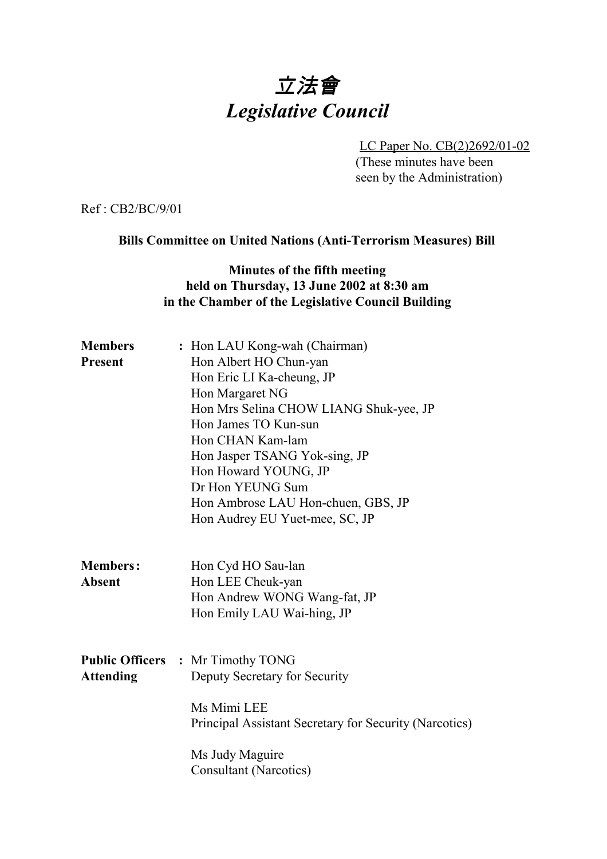# 立法會 *Legislative Council*

LC Paper No. CB(2)2692/01-02 (These minutes have been seen by the Administration)

Ref : CB2/BC/9/01

### **Bills Committee on United Nations (Anti-Terrorism Measures) Bill**

# **Minutes of the fifth meeting held on Thursday, 13 June 2002 at 8:30 am in the Chamber of the Legislative Council Building**

| <b>Members</b><br><b>Present</b> | : Hon LAU Kong-wah (Chairman)<br>Hon Albert HO Chun-yan<br>Hon Eric LI Ka-cheung, JP<br>Hon Margaret NG                                                                                                                                 |  |  |
|----------------------------------|-----------------------------------------------------------------------------------------------------------------------------------------------------------------------------------------------------------------------------------------|--|--|
|                                  | Hon Mrs Selina CHOW LIANG Shuk-yee, JP<br>Hon James TO Kun-sun<br>Hon CHAN Kam-lam<br>Hon Jasper TSANG Yok-sing, JP<br>Hon Howard YOUNG, JP<br>Dr Hon YEUNG Sum<br>Hon Ambrose LAU Hon-chuen, GBS, JP<br>Hon Audrey EU Yuet-mee, SC, JP |  |  |
| <b>Members:</b><br><b>Absent</b> | Hon Cyd HO Sau-lan<br>Hon LEE Cheuk-yan<br>Hon Andrew WONG Wang-fat, JP<br>Hon Emily LAU Wai-hing, JP                                                                                                                                   |  |  |
| <b>Attending</b>                 | <b>Public Officers : Mr Timothy TONG</b><br>Deputy Secretary for Security<br>Ms Mimi LEE<br>Principal Assistant Secretary for Security (Narcotics)                                                                                      |  |  |
|                                  | Ms Judy Maguire<br><b>Consultant (Narcotics)</b>                                                                                                                                                                                        |  |  |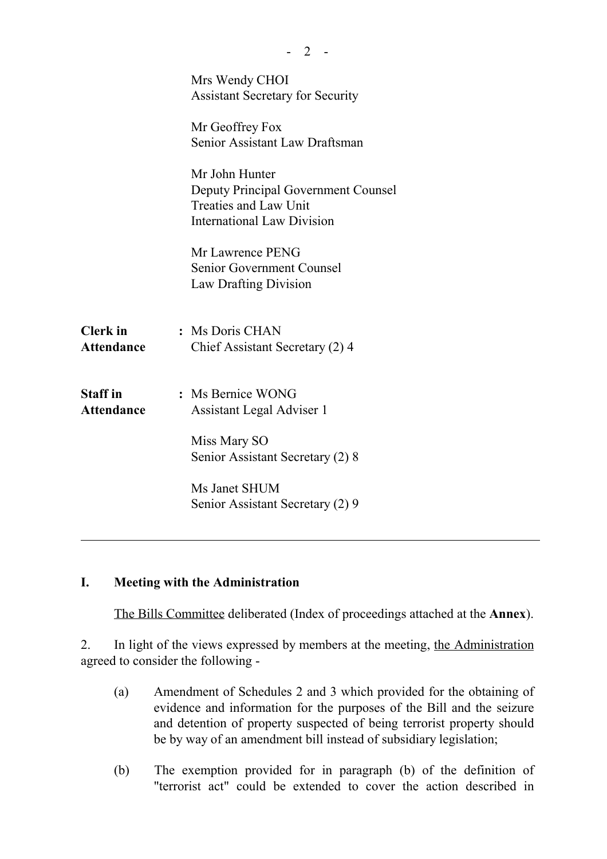|                                      | Mrs Wendy CHOI<br><b>Assistant Secretary for Security</b><br>Mr Geoffrey Fox<br>Senior Assistant Law Draftsman<br>Mr John Hunter<br><b>Deputy Principal Government Counsel</b><br><b>Treaties and Law Unit</b><br><b>International Law Division</b> |
|--------------------------------------|-----------------------------------------------------------------------------------------------------------------------------------------------------------------------------------------------------------------------------------------------------|
|                                      | Mr Lawrence PENG<br><b>Senior Government Counsel</b><br>Law Drafting Division                                                                                                                                                                       |
| <b>Clerk</b> in<br><b>Attendance</b> | : Ms Doris CHAN<br>Chief Assistant Secretary (2) 4                                                                                                                                                                                                  |
| <b>Staff</b> in<br><b>Attendance</b> | : Ms Bernice WONG<br>Assistant Legal Adviser 1                                                                                                                                                                                                      |
|                                      | Miss Mary SO<br>Senior Assistant Secretary (2) 8                                                                                                                                                                                                    |
|                                      | Ms Janet SHUM<br>Senior Assistant Secretary (2) 9                                                                                                                                                                                                   |
|                                      |                                                                                                                                                                                                                                                     |

 $- 2 -$ 

### **I. Meeting with the Administration**

The Bills Committee deliberated (Index of proceedings attached at the **Annex**).

2. In light of the views expressed by members at the meeting, the Administration agreed to consider the following -

- (a) Amendment of Schedules 2 and 3 which provided for the obtaining of evidence and information for the purposes of the Bill and the seizure and detention of property suspected of being terrorist property should be by way of an amendment bill instead of subsidiary legislation;
- (b) The exemption provided for in paragraph (b) of the definition of "terrorist act" could be extended to cover the action described in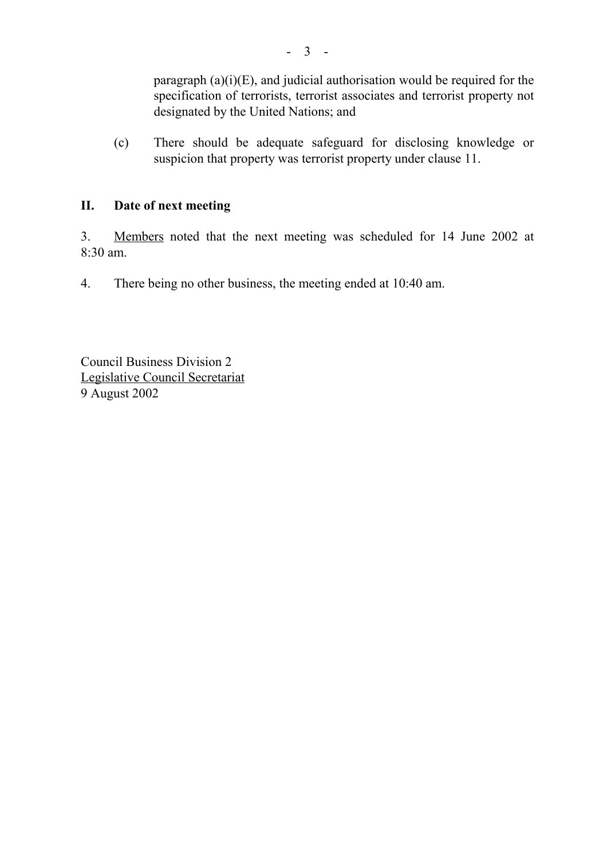paragraph  $(a)(i)(E)$ , and judicial authorisation would be required for the specification of terrorists, terrorist associates and terrorist property not designated by the United Nations; and

(c) There should be adequate safeguard for disclosing knowledge or suspicion that property was terrorist property under clause 11.

# **II. Date of next meeting**

3. Members noted that the next meeting was scheduled for 14 June 2002 at 8:30 am.

4. There being no other business, the meeting ended at 10:40 am.

Council Business Division 2 Legislative Council Secretariat 9 August 2002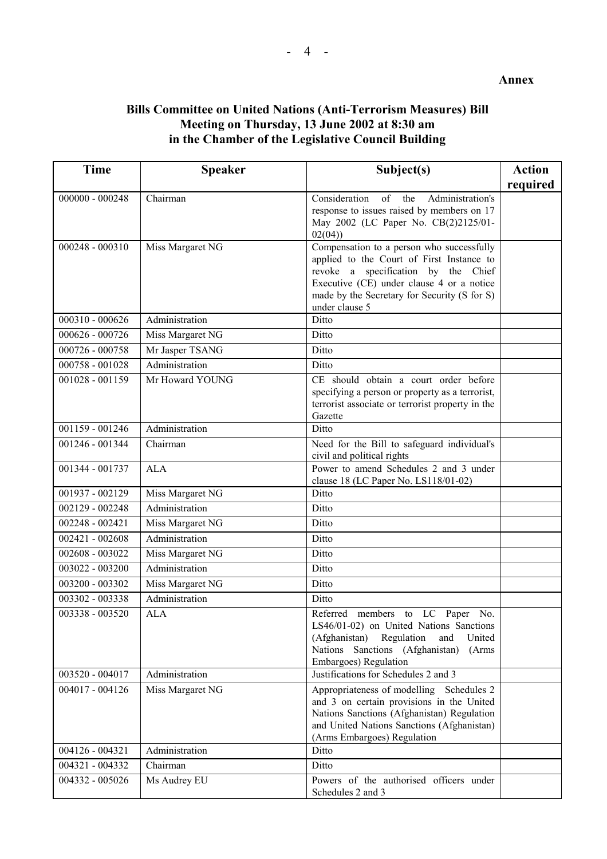#### **Annex**

# **Bills Committee on United Nations (Anti-Terrorism Measures) Bill Meeting on Thursday, 13 June 2002 at 8:30 am in the Chamber of the Legislative Council Building**

| <b>Time</b>       | <b>Speaker</b>   | Subject(s)                                                                                                                                                                                                                                   | <b>Action</b> |
|-------------------|------------------|----------------------------------------------------------------------------------------------------------------------------------------------------------------------------------------------------------------------------------------------|---------------|
|                   |                  |                                                                                                                                                                                                                                              | required      |
| $000000 - 000248$ | Chairman         | Consideration<br>of the<br>Administration's<br>response to issues raised by members on 17<br>May 2002 (LC Paper No. CB(2)2125/01-<br>02(04)                                                                                                  |               |
| 000248 - 000310   | Miss Margaret NG | Compensation to a person who successfully<br>applied to the Court of First Instance to<br>revoke a specification by the Chief<br>Executive (CE) under clause 4 or a notice<br>made by the Secretary for Security (S for S)<br>under clause 5 |               |
| 000310 - 000626   | Administration   | Ditto                                                                                                                                                                                                                                        |               |
| $000626 - 000726$ | Miss Margaret NG | Ditto                                                                                                                                                                                                                                        |               |
| 000726 - 000758   | Mr Jasper TSANG  | Ditto                                                                                                                                                                                                                                        |               |
| 000758 - 001028   | Administration   | Ditto                                                                                                                                                                                                                                        |               |
| 001028 - 001159   | Mr Howard YOUNG  | CE should obtain a court order before<br>specifying a person or property as a terrorist,<br>terrorist associate or terrorist property in the<br>Gazette                                                                                      |               |
| 001159 - 001246   | Administration   | Ditto                                                                                                                                                                                                                                        |               |
| 001246 - 001344   | Chairman         | Need for the Bill to safeguard individual's<br>civil and political rights                                                                                                                                                                    |               |
| 001344 - 001737   | <b>ALA</b>       | Power to amend Schedules 2 and 3 under<br>clause 18 (LC Paper No. LS118/01-02)                                                                                                                                                               |               |
| 001937 - 002129   | Miss Margaret NG | Ditto                                                                                                                                                                                                                                        |               |
| 002129 - 002248   | Administration   | Ditto                                                                                                                                                                                                                                        |               |
| $002248 - 002421$ | Miss Margaret NG | Ditto                                                                                                                                                                                                                                        |               |
| 002421 - 002608   | Administration   | Ditto                                                                                                                                                                                                                                        |               |
| 002608 - 003022   | Miss Margaret NG | Ditto                                                                                                                                                                                                                                        |               |
| 003022 - 003200   | Administration   | Ditto                                                                                                                                                                                                                                        |               |
| 003200 - 003302   | Miss Margaret NG | Ditto                                                                                                                                                                                                                                        |               |
| 003302 - 003338   | Administration   | Ditto                                                                                                                                                                                                                                        |               |
| 003338 - 003520   | <b>ALA</b>       | members to LC Paper<br>Referred<br>No.<br>LS46/01-02) on United Nations Sanctions<br>(Afghanistan)<br>Regulation<br>and<br>United<br>Nations Sanctions (Afghanistan)<br>(Arms)<br>Embargoes) Regulation                                      |               |
| 003520 - 004017   | Administration   | Justifications for Schedules 2 and 3                                                                                                                                                                                                         |               |
| 004017 - 004126   | Miss Margaret NG | Appropriateness of modelling Schedules 2<br>and 3 on certain provisions in the United<br>Nations Sanctions (Afghanistan) Regulation<br>and United Nations Sanctions (Afghanistan)<br>(Arms Embargoes) Regulation                             |               |
| 004126 - 004321   | Administration   | Ditto                                                                                                                                                                                                                                        |               |
| 004321 - 004332   | Chairman         | Ditto                                                                                                                                                                                                                                        |               |
| 004332 - 005026   | Ms Audrey EU     | Powers of the authorised officers under<br>Schedules 2 and 3                                                                                                                                                                                 |               |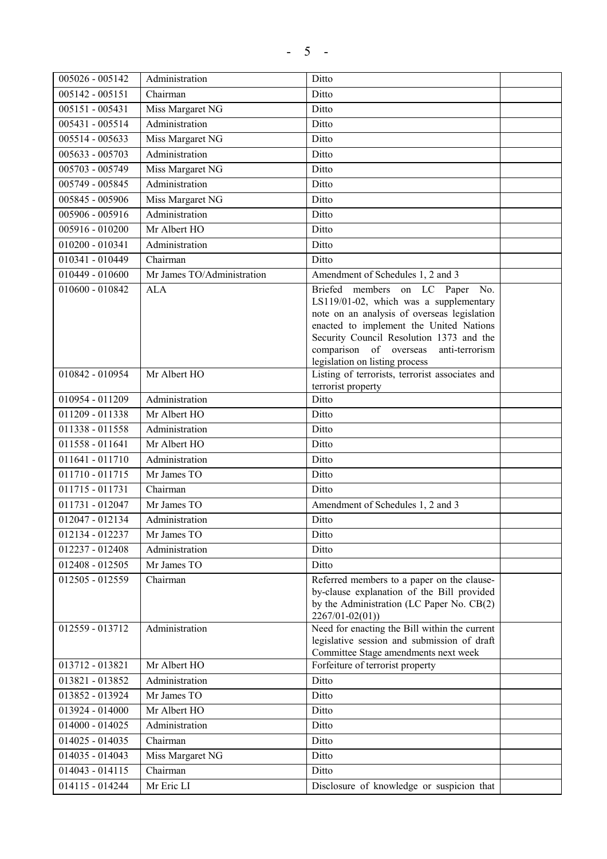| 005026 - 005142   | Administration             | Ditto                                                                                                                                                                                                                                                                                         |  |
|-------------------|----------------------------|-----------------------------------------------------------------------------------------------------------------------------------------------------------------------------------------------------------------------------------------------------------------------------------------------|--|
| 005142 - 005151   | Chairman                   | Ditto                                                                                                                                                                                                                                                                                         |  |
| $005151 - 005431$ | Miss Margaret NG           | Ditto                                                                                                                                                                                                                                                                                         |  |
| 005431 - 005514   | Administration             | Ditto                                                                                                                                                                                                                                                                                         |  |
| 005514 - 005633   | Miss Margaret NG           | Ditto                                                                                                                                                                                                                                                                                         |  |
| 005633 - 005703   | Administration             | Ditto                                                                                                                                                                                                                                                                                         |  |
| 005703 - 005749   | Miss Margaret NG           | Ditto                                                                                                                                                                                                                                                                                         |  |
| 005749 - 005845   | Administration             | Ditto                                                                                                                                                                                                                                                                                         |  |
| 005845 - 005906   | Miss Margaret NG           | Ditto                                                                                                                                                                                                                                                                                         |  |
| 005906 - 005916   | Administration             | Ditto                                                                                                                                                                                                                                                                                         |  |
| 005916 - 010200   | Mr Albert HO               | Ditto                                                                                                                                                                                                                                                                                         |  |
| $010200 - 010341$ | Administration             | Ditto                                                                                                                                                                                                                                                                                         |  |
| 010341 - 010449   | Chairman                   | Ditto                                                                                                                                                                                                                                                                                         |  |
| 010449 - 010600   | Mr James TO/Administration | Amendment of Schedules 1, 2 and 3                                                                                                                                                                                                                                                             |  |
| 010600 - 010842   | <b>ALA</b>                 | Briefed members on LC Paper No.<br>LS119/01-02, which was a supplementary<br>note on an analysis of overseas legislation<br>enacted to implement the United Nations<br>Security Council Resolution 1373 and the<br>comparison of overseas<br>anti-terrorism<br>legislation on listing process |  |
| 010842 - 010954   | Mr Albert HO               | Listing of terrorists, terrorist associates and<br>terrorist property                                                                                                                                                                                                                         |  |
| 010954 - 011209   | Administration             | Ditto                                                                                                                                                                                                                                                                                         |  |
| 011209 - 011338   | Mr Albert HO               | Ditto                                                                                                                                                                                                                                                                                         |  |
| 011338 - 011558   | Administration             | Ditto                                                                                                                                                                                                                                                                                         |  |
| 011558 - 011641   | Mr Albert HO               | Ditto                                                                                                                                                                                                                                                                                         |  |
| 011641 - 011710   | Administration             | Ditto                                                                                                                                                                                                                                                                                         |  |
| 011710 - 011715   | Mr James TO                | Ditto                                                                                                                                                                                                                                                                                         |  |
| 011715 - 011731   | Chairman                   | Ditto                                                                                                                                                                                                                                                                                         |  |
| 011731 - 012047   | Mr James TO                | Amendment of Schedules 1, 2 and 3                                                                                                                                                                                                                                                             |  |
| 012047 - 012134   | Administration             | Ditto                                                                                                                                                                                                                                                                                         |  |
| 012134 - 012237   | Mr James TO                | Ditto                                                                                                                                                                                                                                                                                         |  |
| 012237 - 012408   | Administration             | Ditto                                                                                                                                                                                                                                                                                         |  |
| 012408 - 012505   | Mr James TO                | Ditto                                                                                                                                                                                                                                                                                         |  |
| 012505 - 012559   | Chairman                   | Referred members to a paper on the clause-<br>by-clause explanation of the Bill provided<br>by the Administration (LC Paper No. CB(2)<br>$2267/01 - 02(01)$                                                                                                                                   |  |
| 012559 - 013712   | Administration             | Need for enacting the Bill within the current<br>legislative session and submission of draft<br>Committee Stage amendments next week                                                                                                                                                          |  |
| 013712 - 013821   | Mr Albert HO               | Forfeiture of terrorist property                                                                                                                                                                                                                                                              |  |
| 013821 - 013852   | Administration             | Ditto                                                                                                                                                                                                                                                                                         |  |
| 013852 - 013924   | Mr James TO                | Ditto                                                                                                                                                                                                                                                                                         |  |
| 013924 - 014000   | Mr Albert HO               | Ditto                                                                                                                                                                                                                                                                                         |  |
| $014000 - 014025$ | Administration             | Ditto                                                                                                                                                                                                                                                                                         |  |
| 014025 - 014035   | Chairman                   | Ditto                                                                                                                                                                                                                                                                                         |  |
| 014035 - 014043   | Miss Margaret NG           | Ditto                                                                                                                                                                                                                                                                                         |  |
| 014043 - 014115   | Chairman                   | Ditto                                                                                                                                                                                                                                                                                         |  |
| 014115 - 014244   | Mr Eric LI                 | Disclosure of knowledge or suspicion that                                                                                                                                                                                                                                                     |  |
|                   |                            |                                                                                                                                                                                                                                                                                               |  |